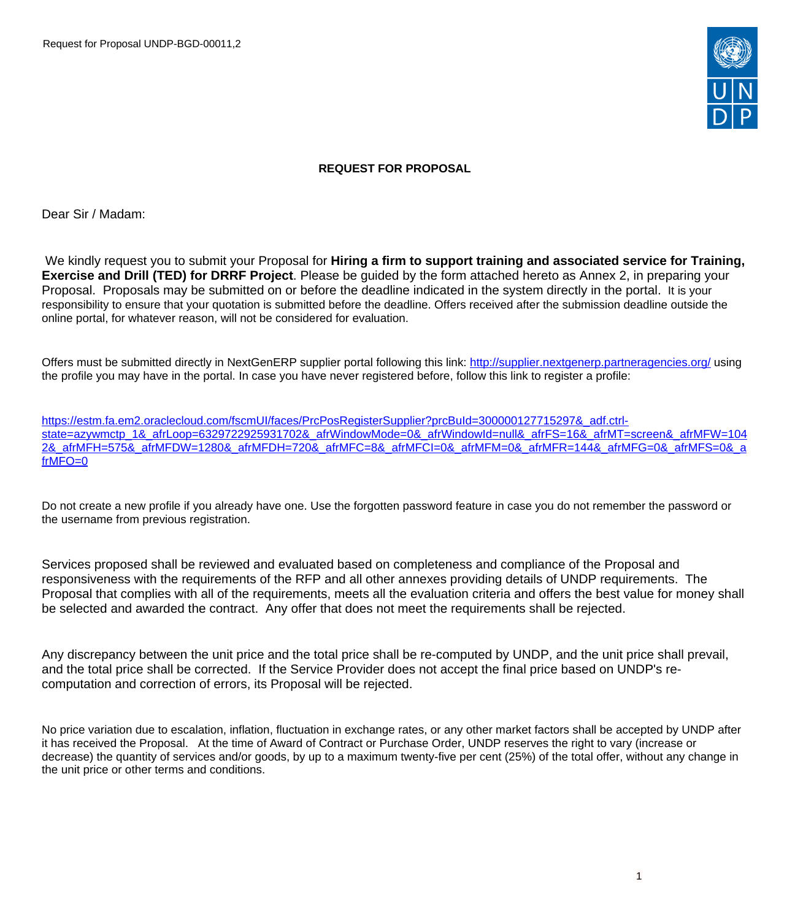Request for Proposal UNDP-BGD-00011,2



## **REQUEST FOR PROPOSAL**

Dear Sir / Madam:

We kindly request you to submit your Proposal for **Hiring a firm to support training and associated service for Training, Exercise and Drill (TED) for DRRF Project**. Please be guided by the form attached hereto as Annex 2, in preparing your Proposal. Proposals may be submitted on or before the deadline indicated in the system directly in the portal. It is your responsibility to ensure that your quotation is submitted before the deadline. Offers received after the submission deadline outside the online portal, for whatever reason, will not be considered for evaluation.

Offers must be submitted directly in NextGenERP supplier portal following this link:<http://supplier.nextgenerp.partneragencies.org/>using the profile you may have in the portal. In case you have never registered before, follow this link to register a profile:

[https://estm.fa.em2.oraclecloud.com/fscmUI/faces/PrcPosRegisterSupplier?prcBuId=300000127715297&\\_adf.ctrl](https://estm.fa.em2.oraclecloud.com/fscmUI/faces/PrcPosRegisterSupplier?prcBuId=300000127715297&_adf.ctrl-state=azywmctp_1&_afrLoop=6329722925931702&_afrWindowMode=0&_afrWindowId=null&_afrFS=16&_afrMT=screen&_afrMFW=1042&_afrMFH=575&_afrMFDW=1280&_afrMFDH=720&_afrMFC=8&_afrMFCI=0&_afrMFM=0&_afrMFR=144&_afrMFG=0&_afrMFS=0&_afrMFO=0)[state=azywmctp\\_1&\\_afrLoop=6329722925931702&\\_afrWindowMode=0&\\_afrWindowId=null&\\_afrFS=16&\\_afrMT=screen&\\_afrMFW=104](https://estm.fa.em2.oraclecloud.com/fscmUI/faces/PrcPosRegisterSupplier?prcBuId=300000127715297&_adf.ctrl-state=azywmctp_1&_afrLoop=6329722925931702&_afrWindowMode=0&_afrWindowId=null&_afrFS=16&_afrMT=screen&_afrMFW=1042&_afrMFH=575&_afrMFDW=1280&_afrMFDH=720&_afrMFC=8&_afrMFCI=0&_afrMFM=0&_afrMFR=144&_afrMFG=0&_afrMFS=0&_afrMFO=0) [2&\\_afrMFH=575&\\_afrMFDW=1280&\\_afrMFDH=720&\\_afrMFC=8&\\_afrMFCI=0&\\_afrMFM=0&\\_afrMFR=144&\\_afrMFG=0&\\_afrMFS=0&\\_a](https://estm.fa.em2.oraclecloud.com/fscmUI/faces/PrcPosRegisterSupplier?prcBuId=300000127715297&_adf.ctrl-state=azywmctp_1&_afrLoop=6329722925931702&_afrWindowMode=0&_afrWindowId=null&_afrFS=16&_afrMT=screen&_afrMFW=1042&_afrMFH=575&_afrMFDW=1280&_afrMFDH=720&_afrMFC=8&_afrMFCI=0&_afrMFM=0&_afrMFR=144&_afrMFG=0&_afrMFS=0&_afrMFO=0) [frMFO=0](https://estm.fa.em2.oraclecloud.com/fscmUI/faces/PrcPosRegisterSupplier?prcBuId=300000127715297&_adf.ctrl-state=azywmctp_1&_afrLoop=6329722925931702&_afrWindowMode=0&_afrWindowId=null&_afrFS=16&_afrMT=screen&_afrMFW=1042&_afrMFH=575&_afrMFDW=1280&_afrMFDH=720&_afrMFC=8&_afrMFCI=0&_afrMFM=0&_afrMFR=144&_afrMFG=0&_afrMFS=0&_afrMFO=0)

Do not create a new profile if you already have one. Use the forgotten password feature in case you do not remember the password or the username from previous registration.

Services proposed shall be reviewed and evaluated based on completeness and compliance of the Proposal and responsiveness with the requirements of the RFP and all other annexes providing details of UNDP requirements. The Proposal that complies with all of the requirements, meets all the evaluation criteria and offers the best value for money shall be selected and awarded the contract. Any offer that does not meet the requirements shall be rejected.

Any discrepancy between the unit price and the total price shall be re-computed by UNDP, and the unit price shall prevail, and the total price shall be corrected. If the Service Provider does not accept the final price based on UNDP's recomputation and correction of errors, its Proposal will be rejected.

No price variation due to escalation, inflation, fluctuation in exchange rates, or any other market factors shall be accepted by UNDP after it has received the Proposal. At the time of Award of Contract or Purchase Order, UNDP reserves the right to vary (increase or decrease) the quantity of services and/or goods, by up to a maximum twenty-five per cent (25%) of the total offer, without any change in the unit price or other terms and conditions.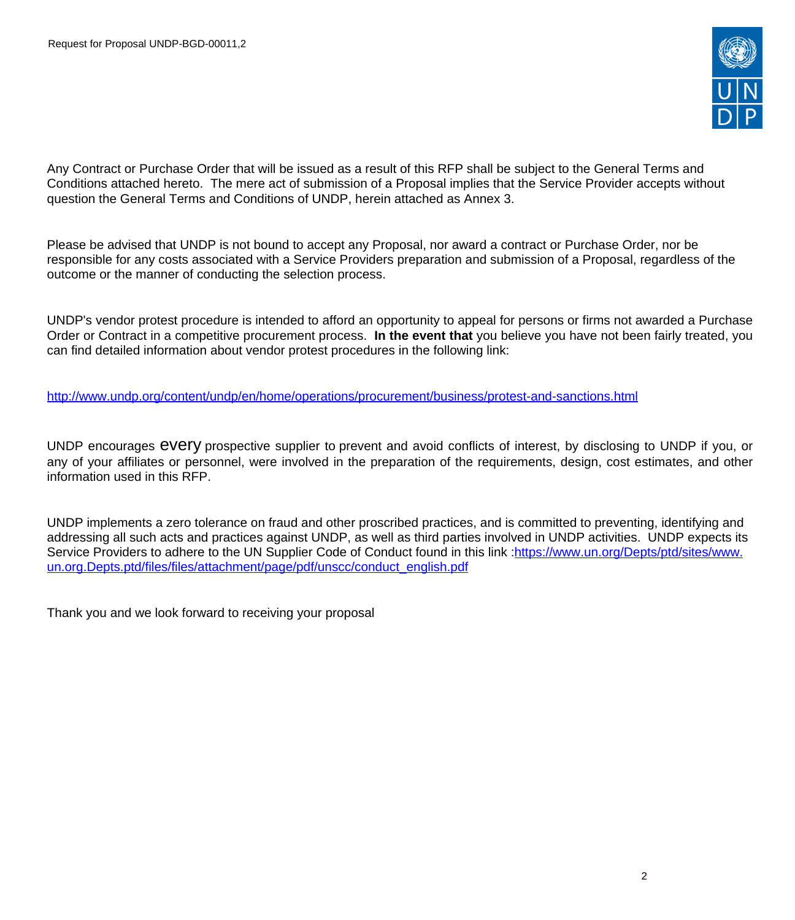

Any Contract or Purchase Order that will be issued as a result of this RFP shall be subject to the General Terms and Conditions attached hereto. The mere act of submission of a Proposal implies that the Service Provider accepts without question the General Terms and Conditions of UNDP, herein attached as Annex 3.

Please be advised that UNDP is not bound to accept any Proposal, nor award a contract or Purchase Order, nor be responsible for any costs associated with a Service Providers preparation and submission of a Proposal, regardless of the outcome or the manner of conducting the selection process.

UNDP's vendor protest procedure is intended to afford an opportunity to appeal for persons or firms not awarded a Purchase Order or Contract in a competitive procurement process. **In the event that** you believe you have not been fairly treated, you can find detailed information about vendor protest procedures in the following link:

<http://www.undp.org/content/undp/en/home/operations/procurement/business/protest-and-sanctions.html>

UNDP encourages every prospective supplier to prevent and avoid conflicts of interest, by disclosing to UNDP if you, or any of your affiliates or personnel, were involved in the preparation of the requirements, design, cost estimates, and other information used in this RFP.

UNDP implements a zero tolerance on fraud and other proscribed practices, and is committed to preventing, identifying and addressing all such acts and practices against UNDP, as well as third parties involved in UNDP activities. UNDP expects its Service Providers to adhere to the UN Supplier Code of Conduct found in this link :[https://www.un.org/Depts/ptd/sites/www.](https://www.un.org/Depts/ptd/sites/www.un.org.Depts.ptd/files/files/attachment/page/pdf/unscc/conduct_english.pdf) [un.org.Depts.ptd/files/files/attachment/page/pdf/unscc/conduct\\_english.pdf](https://www.un.org/Depts/ptd/sites/www.un.org.Depts.ptd/files/files/attachment/page/pdf/unscc/conduct_english.pdf)

Thank you and we look forward to receiving your proposal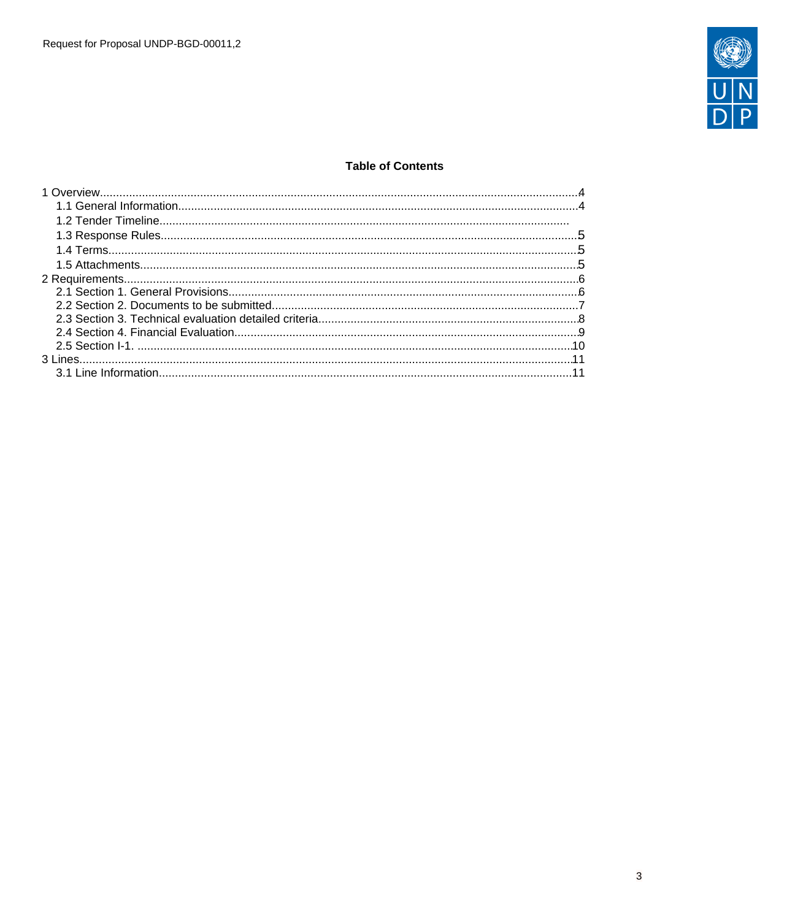

## **Table of Contents**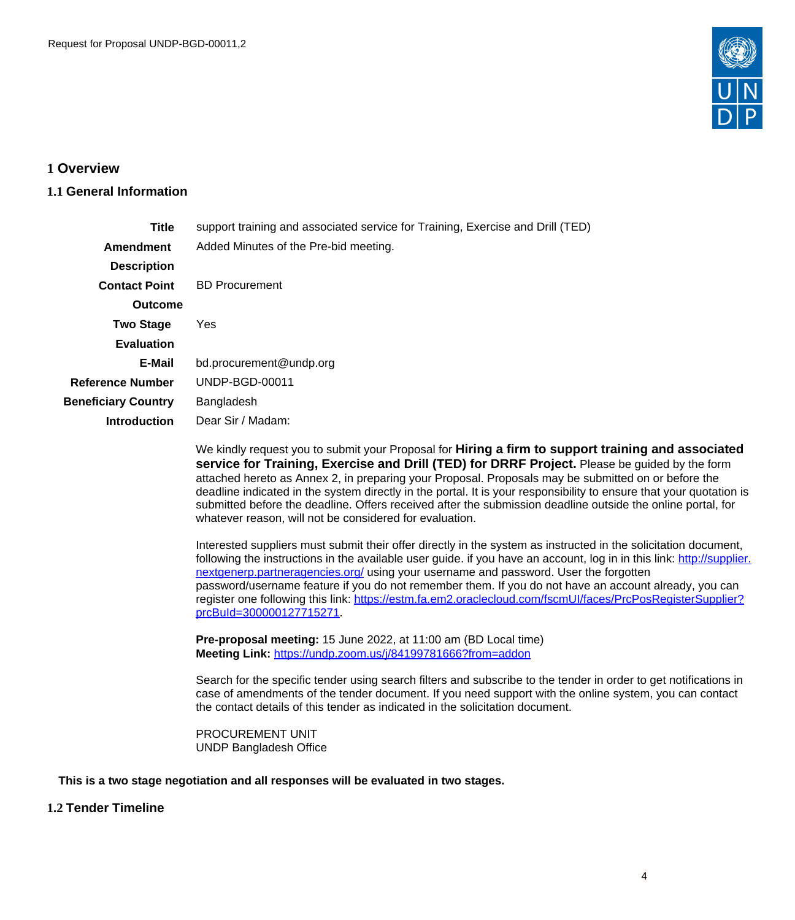

# <span id="page-3-0"></span>**1 Overview**

## <span id="page-3-1"></span>**1.1 General Information**

| <b>Title</b>               | support training and associated service for Training, Exercise and Drill (TED) |  |  |  |  |  |
|----------------------------|--------------------------------------------------------------------------------|--|--|--|--|--|
| Amendment                  | Added Minutes of the Pre-bid meeting.                                          |  |  |  |  |  |
| <b>Description</b>         |                                                                                |  |  |  |  |  |
| <b>Contact Point</b>       | <b>BD Procurement</b>                                                          |  |  |  |  |  |
| <b>Outcome</b>             |                                                                                |  |  |  |  |  |
| <b>Two Stage</b>           | Yes                                                                            |  |  |  |  |  |
| <b>Evaluation</b>          |                                                                                |  |  |  |  |  |
| E-Mail                     | bd.procurement@undp.org                                                        |  |  |  |  |  |
| <b>Reference Number</b>    | UNDP-BGD-00011                                                                 |  |  |  |  |  |
| <b>Beneficiary Country</b> | Bangladesh                                                                     |  |  |  |  |  |
| <b>Introduction</b>        | Dear Sir / Madam:                                                              |  |  |  |  |  |
|                            |                                                                                |  |  |  |  |  |

We kindly request you to submit your Proposal for **Hiring a firm to support training and associated service for Training, Exercise and Drill (TED) for DRRF Project.** Please be guided by the form attached hereto as Annex 2, in preparing your Proposal. Proposals may be submitted on or before the deadline indicated in the system directly in the portal. It is your responsibility to ensure that your quotation is submitted before the deadline. Offers received after the submission deadline outside the online portal, for whatever reason, will not be considered for evaluation.

Interested suppliers must submit their offer directly in the system as instructed in the solicitation document, following the instructions in the available user guide. if you have an account, log in in this link: [http://supplier.](http://supplier.nextgenerp.partneragencies.org/) [nextgenerp.partneragencies.org/](http://supplier.nextgenerp.partneragencies.org/) using your username and password. User the forgotten password/username feature if you do not remember them. If you do not have an account already, you can register one following this link: [https://estm.fa.em2.oraclecloud.com/fscmUI/faces/PrcPosRegisterSupplier?](https://estm.fa.em2.oraclecloud.com/fscmUI/faces/PrcPosRegisterSupplier?prcBuId=300000127715271) [prcBuId=300000127715271](https://estm.fa.em2.oraclecloud.com/fscmUI/faces/PrcPosRegisterSupplier?prcBuId=300000127715271).

**Pre-proposal meeting:** 15 June 2022, at 11:00 am (BD Local time) **Meeting Link:** <https://undp.zoom.us/j/84199781666?from=addon>

Search for the specific tender using search filters and subscribe to the tender in order to get notifications in case of amendments of the tender document. If you need support with the online system, you can contact the contact details of this tender as indicated in the solicitation document.

PROCUREMENT UNIT UNDP Bangladesh Office

**This is a two stage negotiation and all responses will be evaluated in two stages.**

## **1.2 Tender Timeline**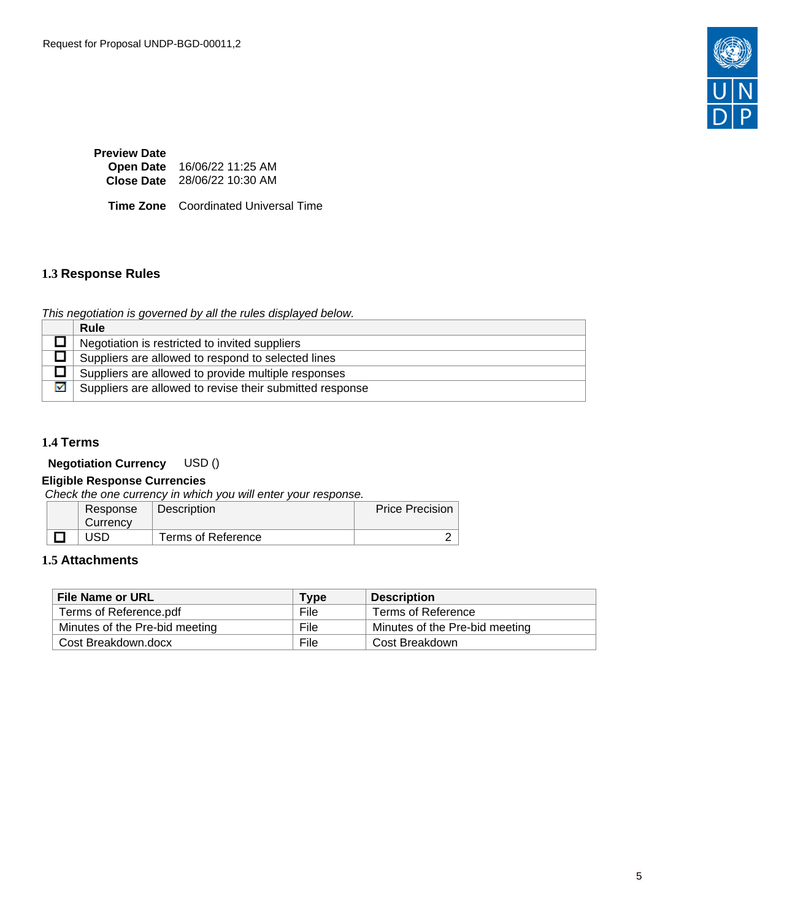

| <b>Preview Date</b> |                              |
|---------------------|------------------------------|
| <b>Open Date</b>    | 16/06/22 11:25 AM            |
|                     | Close Date 28/06/22 10:30 AM |

**Time Zone** Coordinated Universal Time

### <span id="page-4-0"></span>**1.3 Response Rules**

This negotiation is governed by all the rules displayed below.

|   | <b>Rule</b>                                              |
|---|----------------------------------------------------------|
|   | Negotiation is restricted to invited suppliers           |
|   | Suppliers are allowed to respond to selected lines       |
|   | Suppliers are allowed to provide multiple responses      |
| M | Suppliers are allowed to revise their submitted response |

# <span id="page-4-1"></span>**1.4 Terms**

**Negotiation Currency** USD ()

# **Eligible Response Currencies**

Check the one currency in which you will enter your response.

| Response<br>Currency | <b>Description</b> | Price Precision |
|----------------------|--------------------|-----------------|
| JSD                  | Terms of Reference |                 |

#### <span id="page-4-2"></span>**1.5 Attachments**

| <b>File Name or URL</b>        | <b>Type</b> | <b>Description</b>             |
|--------------------------------|-------------|--------------------------------|
| Terms of Reference.pdf         | File        | Terms of Reference             |
| Minutes of the Pre-bid meeting | File        | Minutes of the Pre-bid meeting |
| Cost Breakdown.docx            | File        | Cost Breakdown                 |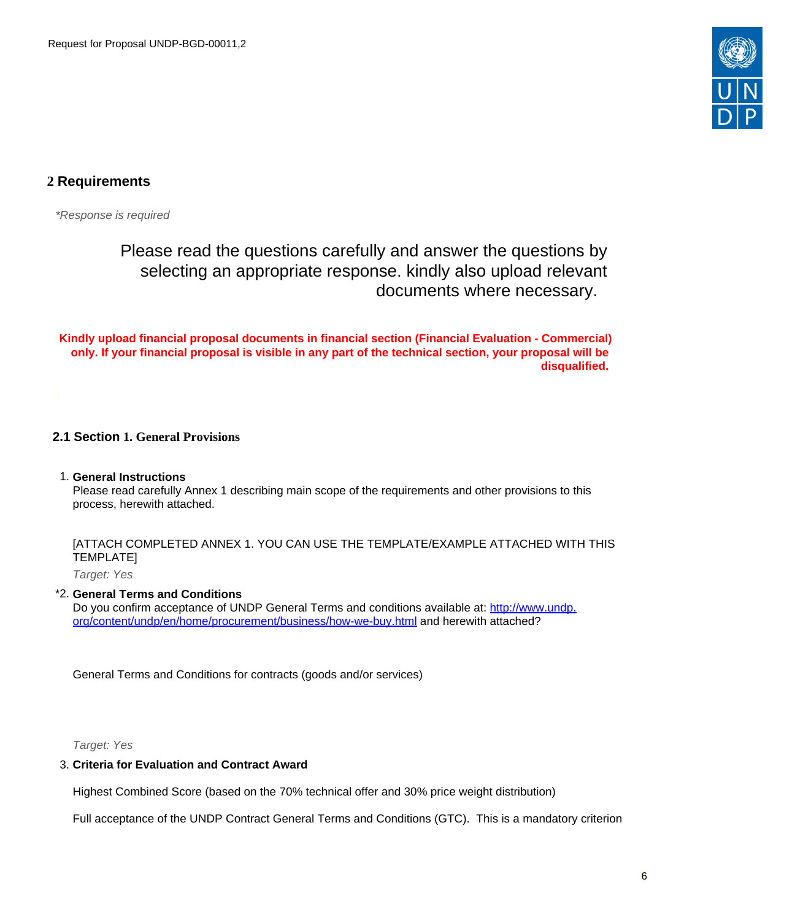

# <span id="page-5-0"></span>**2 Requirements**

\*Response is required

Please read the questions carefully and answer the questions by selecting an appropriate response. kindly also upload relevant documents where necessary.

**Kindly upload financial proposal documents in financial section (Financial Evaluation - Commercial) only. If your financial proposal is visible in any part of the technical section, your proposal will be disqualified.** 

## <span id="page-5-1"></span>**2.1 Section 1. General Provisions**

### 1. **General Instructions**

Please read carefully Annex 1 describing main scope of the requirements and other provisions to this process, herewith attached.

## [ATTACH COMPLETED ANNEX 1. YOU CAN USE THE TEMPLATE/EXAMPLE ATTACHED WITH THIS TEMPLATE]

Target: Yes

### \*2. **General Terms and Conditions**

Do you confirm acceptance of UNDP General Terms and conditions available at: [http://www.undp.](http://www.undp.org/content/undp/en/home/procurement/business/how-we-buy.html) [org/content/undp/en/home/procurement/business/how-we-buy.html](http://www.undp.org/content/undp/en/home/procurement/business/how-we-buy.html) and herewith attached?

General Terms and Conditions for contracts (goods and/or services)

Target: Yes

### 3. **Criteria for Evaluation and Contract Award**

Highest Combined Score (based on the 70% technical offer and 30% price weight distribution)

Full acceptance of the UNDP Contract General Terms and Conditions (GTC). This is a mandatory criterion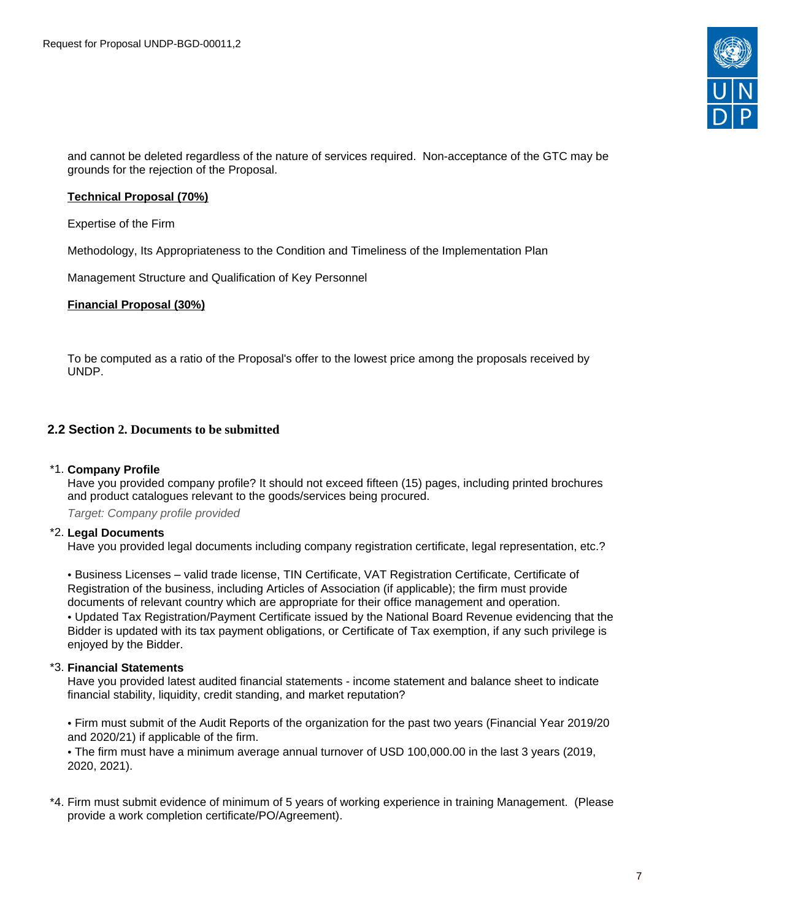

and cannot be deleted regardless of the nature of services required. Non-acceptance of the GTC may be grounds for the rejection of the Proposal.

#### **Technical Proposal (70%)**

Expertise of the Firm

Methodology, Its Appropriateness to the Condition and Timeliness of the Implementation Plan

Management Structure and Qualification of Key Personnel

#### **Financial Proposal (30%)**

To be computed as a ratio of the Proposal's offer to the lowest price among the proposals received by UNDP.

### <span id="page-6-0"></span>**2.2 Section 2. Documents to be submitted**

#### \*1. **Company Profile**

Have you provided company profile? It should not exceed fifteen (15) pages, including printed brochures and product catalogues relevant to the goods/services being procured.

Target: Company profile provided

#### \*2. **Legal Documents**

Have you provided legal documents including company registration certificate, legal representation, etc.?

• Business Licenses – valid trade license, TIN Certificate, VAT Registration Certificate, Certificate of Registration of the business, including Articles of Association (if applicable); the firm must provide documents of relevant country which are appropriate for their office management and operation.

• Updated Tax Registration/Payment Certificate issued by the National Board Revenue evidencing that the Bidder is updated with its tax payment obligations, or Certificate of Tax exemption, if any such privilege is enjoyed by the Bidder.

#### \*3. **Financial Statements**

Have you provided latest audited financial statements - income statement and balance sheet to indicate financial stability, liquidity, credit standing, and market reputation?

• Firm must submit of the Audit Reports of the organization for the past two years (Financial Year 2019/20 and 2020/21) if applicable of the firm.

• The firm must have a minimum average annual turnover of USD 100,000.00 in the last 3 years (2019, 2020, 2021).

\*4. Firm must submit evidence of minimum of 5 years of working experience in training Management. (Please provide a work completion certificate/PO/Agreement).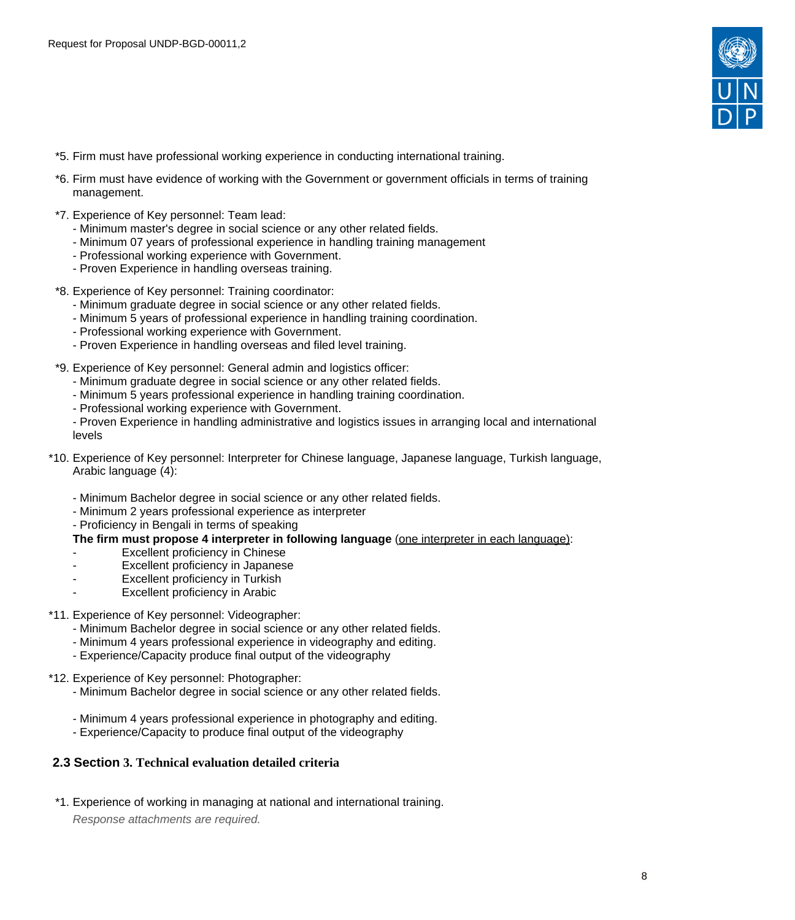

- \*5. Firm must have professional working experience in conducting international training.
- \*6. Firm must have evidence of working with the Government or government officials in terms of training management.
- \*7. Experience of Key personnel: Team lead:
	- Minimum master's degree in social science or any other related fields.
	- Minimum 07 years of professional experience in handling training management
	- Professional working experience with Government.
	- Proven Experience in handling overseas training.
- \*8. Experience of Key personnel: Training coordinator:
	- Minimum graduate degree in social science or any other related fields.
	- Minimum 5 years of professional experience in handling training coordination.
	- Professional working experience with Government.
	- Proven Experience in handling overseas and filed level training.
- \*9. Experience of Key personnel: General admin and logistics officer:
	- Minimum graduate degree in social science or any other related fields.
	- Minimum 5 years professional experience in handling training coordination.
	- Professional working experience with Government.

- Proven Experience in handling administrative and logistics issues in arranging local and international levels

- \*10. Experience of Key personnel: Interpreter for Chinese language, Japanese language, Turkish language, Arabic language (4):
	- Minimum Bachelor degree in social science or any other related fields.
	- Minimum 2 years professional experience as interpreter
	- Proficiency in Bengali in terms of speaking

#### **The firm must propose 4 interpreter in following language** (one interpreter in each language):

- Excellent proficiency in Chinese
- Excellent proficiency in Japanese
- Excellent proficiency in Turkish
- Excellent proficiency in Arabic
- \*11. Experience of Key personnel: Videographer:
	- Minimum Bachelor degree in social science or any other related fields.
	- Minimum 4 years professional experience in videography and editing.
	- Experience/Capacity produce final output of the videography
- \*12. Experience of Key personnel: Photographer:
	- Minimum Bachelor degree in social science or any other related fields.
	- Minimum 4 years professional experience in photography and editing.
	- Experience/Capacity to produce final output of the videography

## <span id="page-7-0"></span>**2.3 Section 3. Technical evaluation detailed criteria**

\*1. Experience of working in managing at national and international training. Response attachments are required*.*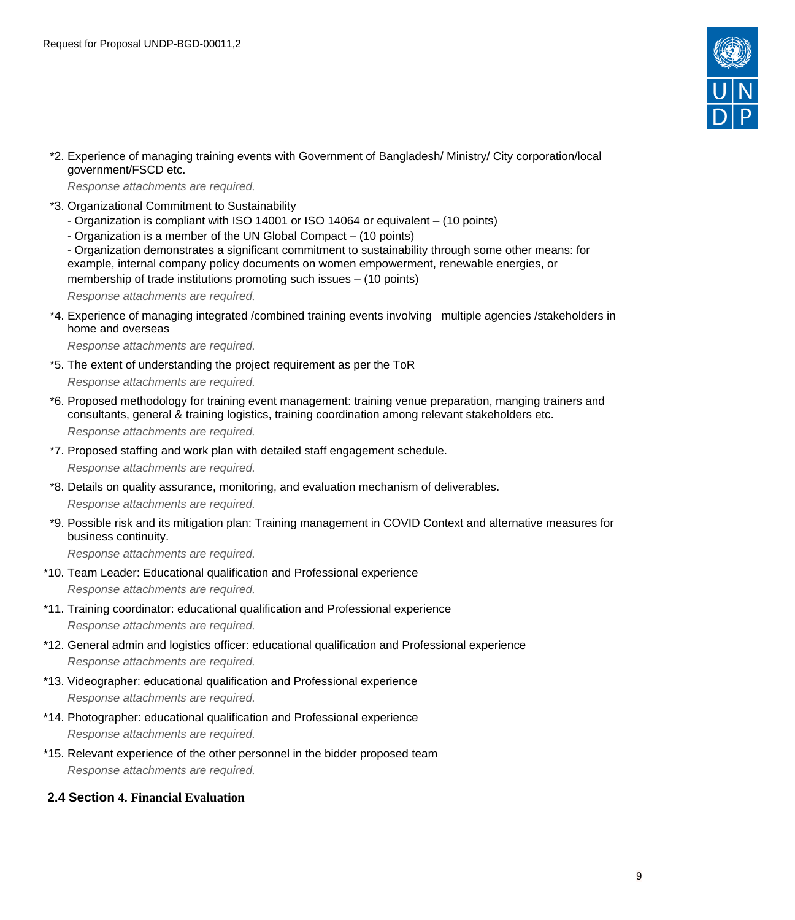

\*2. Experience of managing training events with Government of Bangladesh/ Ministry/ City corporation/local government/FSCD etc.

Response attachments are required*.*

- \*3. Organizational Commitment to Sustainability
	- Organization is compliant with ISO 14001 or ISO 14064 or equivalent (10 points)
	- Organization is a member of the UN Global Compact (10 points)

- Organization demonstrates a significant commitment to sustainability through some other means: for example, internal company policy documents on women empowerment, renewable energies, or membership of trade institutions promoting such issues – (10 points)

Response attachments are required*.*

\*4. Experience of managing integrated /combined training events involving multiple agencies /stakeholders in home and overseas

Response attachments are required*.*

- \*5. The extent of understanding the project requirement as per the ToR Response attachments are required*.*
- \*6. Proposed methodology for training event management: training venue preparation, manging trainers and consultants, general & training logistics, training coordination among relevant stakeholders etc. Response attachments are required*.*
- \*7. Proposed staffing and work plan with detailed staff engagement schedule.

Response attachments are required*.*

\*8. Details on quality assurance, monitoring, and evaluation mechanism of deliverables.

Response attachments are required*.*

\*9. Possible risk and its mitigation plan: Training management in COVID Context and alternative measures for business continuity.

Response attachments are required*.*

- \*10. Team Leader: Educational qualification and Professional experience Response attachments are required*.*
- \*11. Training coordinator: educational qualification and Professional experience Response attachments are required*.*
- \*12. General admin and logistics officer: educational qualification and Professional experience Response attachments are required*.*
- \*13. Videographer: educational qualification and Professional experience Response attachments are required*.*
- \*14. Photographer: educational qualification and Professional experience Response attachments are required*.*
- \*15. Relevant experience of the other personnel in the bidder proposed team Response attachments are required*.*
- <span id="page-8-0"></span>**2.4 Section 4. Financial Evaluation**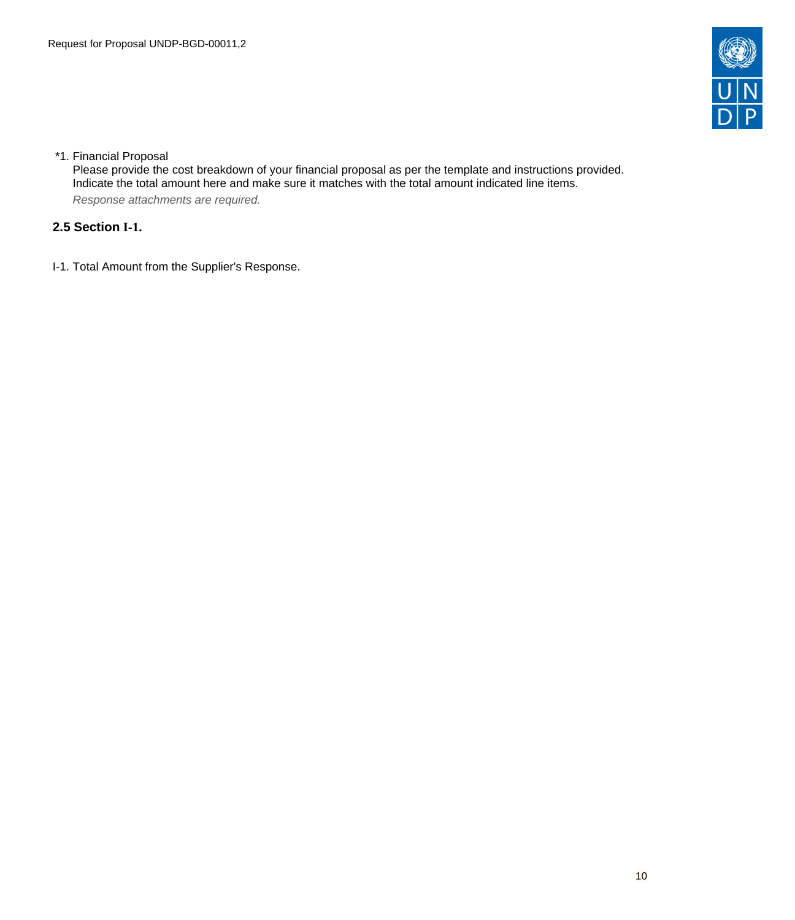

## \*1. Financial Proposal

Please provide the cost breakdown of your financial proposal as per the template and instructions provided. Indicate the total amount here and make sure it matches with the total amount indicated line items. Response attachments are required*.*

# <span id="page-9-0"></span>**2.5 Section I-1.**

I-1. Total Amount from the Supplier's Response.